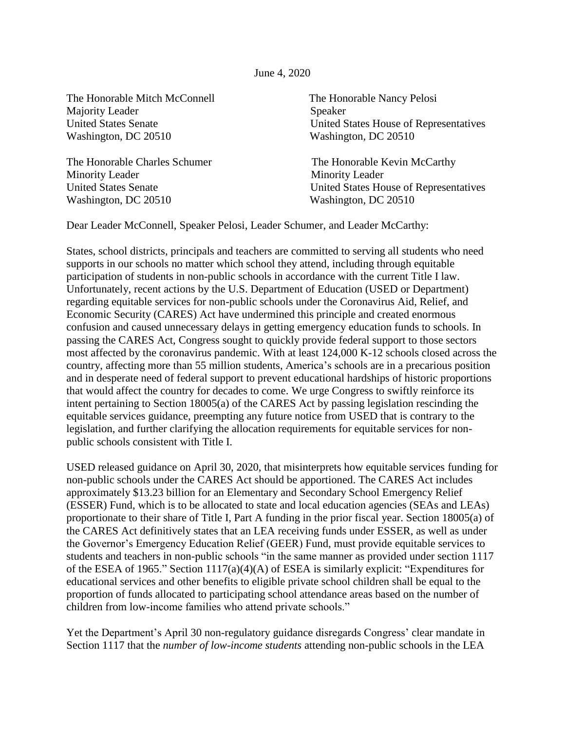## June 4, 2020

The Honorable Mitch McConnell The Honorable Nancy Pelosi Majority Leader Speaker Washington, DC 20510 Washington, DC 20510

The Honorable Charles Schumer The Honorable Kevin McCarthy Minority Leader Minority Leader Washington, DC 20510 Washington, DC 20510

United States Senate United States House of Representatives

United States Senate United States House of Representatives

Dear Leader McConnell, Speaker Pelosi, Leader Schumer, and Leader McCarthy:

States, school districts, principals and teachers are committed to serving all students who need supports in our schools no matter which school they attend, including through equitable participation of students in non-public schools in accordance with the current Title I law. Unfortunately, recent actions by the U.S. Department of Education (USED or Department) regarding equitable services for non-public schools under the Coronavirus Aid, Relief, and Economic Security (CARES) Act have undermined this principle and created enormous confusion and caused unnecessary delays in getting emergency education funds to schools. In passing the CARES Act, Congress sought to quickly provide federal support to those sectors most affected by the coronavirus pandemic. With at least 124,000 K-12 schools closed across the country, affecting more than 55 million students, America's schools are in a precarious position and in desperate need of federal support to prevent educational hardships of historic proportions that would affect the country for decades to come. We urge Congress to swiftly reinforce its intent pertaining to Section 18005(a) of the CARES Act by passing legislation rescinding the equitable services guidance, preempting any future notice from USED that is contrary to the legislation, and further clarifying the allocation requirements for equitable services for nonpublic schools consistent with Title I.

USED released guidance on April 30, 2020, that misinterprets how equitable services funding for non-public schools under the CARES Act should be apportioned. The CARES Act includes approximately \$13.23 billion for an Elementary and Secondary School Emergency Relief (ESSER) Fund, which is to be allocated to state and local education agencies (SEAs and LEAs) proportionate to their share of Title I, Part A funding in the prior fiscal year. Section 18005(a) of the CARES Act definitively states that an LEA receiving funds under ESSER, as well as under the Governor's Emergency Education Relief (GEER) Fund, must provide equitable services to students and teachers in non-public schools "in the same manner as provided under section 1117 of the ESEA of 1965." Section 1117(a)(4)(A) of ESEA is similarly explicit: "Expenditures for educational services and other benefits to eligible private school children shall be equal to the proportion of funds allocated to participating school attendance areas based on the number of children from low-income families who attend private schools."

Yet the Department's April 30 non-regulatory guidance disregards Congress' clear mandate in Section 1117 that the *number of low-income students* attending non-public schools in the LEA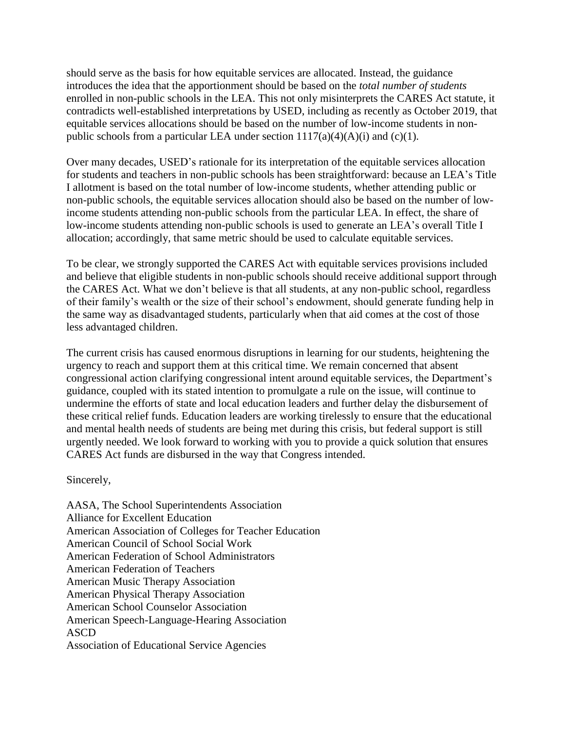should serve as the basis for how equitable services are allocated. Instead, the guidance introduces the idea that the apportionment should be based on the *total number of students* enrolled in non-public schools in the LEA. This not only misinterprets the CARES Act statute, it contradicts well-established interpretations by USED, including as recently as October 2019, that equitable services allocations should be based on the number of low-income students in nonpublic schools from a particular LEA under section  $1117(a)(4)(A)(i)$  and (c)(1).

Over many decades, USED's rationale for its interpretation of the equitable services allocation for students and teachers in non-public schools has been straightforward: because an LEA's Title I allotment is based on the total number of low-income students, whether attending public or non-public schools, the equitable services allocation should also be based on the number of lowincome students attending non-public schools from the particular LEA. In effect, the share of low-income students attending non-public schools is used to generate an LEA's overall Title I allocation; accordingly, that same metric should be used to calculate equitable services.

To be clear, we strongly supported the CARES Act with equitable services provisions included and believe that eligible students in non-public schools should receive additional support through the CARES Act. What we don't believe is that all students, at any non-public school, regardless of their family's wealth or the size of their school's endowment, should generate funding help in the same way as disadvantaged students, particularly when that aid comes at the cost of those less advantaged children.

The current crisis has caused enormous disruptions in learning for our students, heightening the urgency to reach and support them at this critical time. We remain concerned that absent congressional action clarifying congressional intent around equitable services, the Department's guidance, coupled with its stated intention to promulgate a rule on the issue, will continue to undermine the efforts of state and local education leaders and further delay the disbursement of these critical relief funds. Education leaders are working tirelessly to ensure that the educational and mental health needs of students are being met during this crisis, but federal support is still urgently needed. We look forward to working with you to provide a quick solution that ensures CARES Act funds are disbursed in the way that Congress intended.

Sincerely,

AASA, The School Superintendents Association Alliance for Excellent Education American Association of Colleges for Teacher Education American Council of School Social Work American Federation of School Administrators American Federation of Teachers American Music Therapy Association American Physical Therapy Association American School Counselor Association American Speech-Language-Hearing Association ASCD Association of Educational Service Agencies